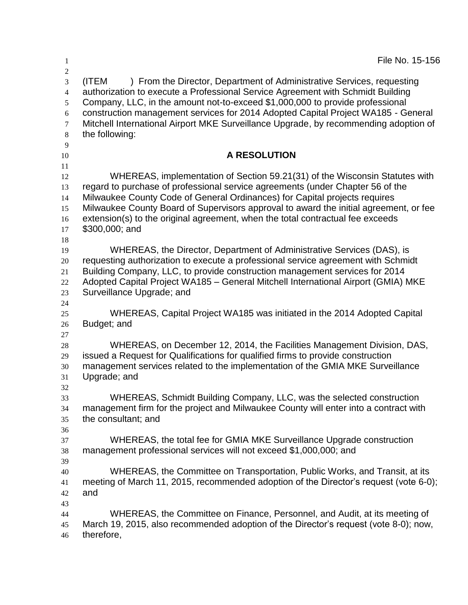| 1                                                                | File No. 15-156                                                                                                                                                                                                                                                                                                                                                                                                                                    |  |  |
|------------------------------------------------------------------|----------------------------------------------------------------------------------------------------------------------------------------------------------------------------------------------------------------------------------------------------------------------------------------------------------------------------------------------------------------------------------------------------------------------------------------------------|--|--|
| $\mathbf{2}$<br>3<br>$\overline{4}$<br>5<br>6<br>7<br>$8\,$<br>9 | (ITEM<br>) From the Director, Department of Administrative Services, requesting<br>authorization to execute a Professional Service Agreement with Schmidt Building<br>Company, LLC, in the amount not-to-exceed \$1,000,000 to provide professional<br>construction management services for 2014 Adopted Capital Project WA185 - General<br>Mitchell International Airport MKE Surveillance Upgrade, by recommending adoption of<br>the following: |  |  |
| 10                                                               | <b>A RESOLUTION</b>                                                                                                                                                                                                                                                                                                                                                                                                                                |  |  |
| 11<br>12<br>13<br>14<br>15<br>16<br>17<br>18                     | WHEREAS, implementation of Section 59.21(31) of the Wisconsin Statutes with<br>regard to purchase of professional service agreements (under Chapter 56 of the<br>Milwaukee County Code of General Ordinances) for Capital projects requires<br>Milwaukee County Board of Supervisors approval to award the initial agreement, or fee<br>extension(s) to the original agreement, when the total contractual fee exceeds<br>\$300,000; and           |  |  |
| 19<br>20<br>21<br>22<br>23<br>24                                 | WHEREAS, the Director, Department of Administrative Services (DAS), is<br>requesting authorization to execute a professional service agreement with Schmidt<br>Building Company, LLC, to provide construction management services for 2014<br>Adopted Capital Project WA185 - General Mitchell International Airport (GMIA) MKE<br>Surveillance Upgrade; and                                                                                       |  |  |
| 25<br>26                                                         | WHEREAS, Capital Project WA185 was initiated in the 2014 Adopted Capital<br>Budget; and                                                                                                                                                                                                                                                                                                                                                            |  |  |
| 27<br>28<br>29<br>30<br>31                                       | WHEREAS, on December 12, 2014, the Facilities Management Division, DAS,<br>issued a Request for Qualifications for qualified firms to provide construction<br>management services related to the implementation of the GMIA MKE Surveillance<br>Upgrade; and                                                                                                                                                                                       |  |  |
| 32<br>33<br>34<br>35                                             | WHEREAS, Schmidt Building Company, LLC, was the selected construction<br>management firm for the project and Milwaukee County will enter into a contract with<br>the consultant; and                                                                                                                                                                                                                                                               |  |  |
| 36<br>37<br>38                                                   | WHEREAS, the total fee for GMIA MKE Surveillance Upgrade construction<br>management professional services will not exceed \$1,000,000; and                                                                                                                                                                                                                                                                                                         |  |  |
| 39<br>40<br>41<br>42                                             | WHEREAS, the Committee on Transportation, Public Works, and Transit, at its<br>meeting of March 11, 2015, recommended adoption of the Director's request (vote 6-0);<br>and                                                                                                                                                                                                                                                                        |  |  |
| 43<br>44<br>45<br>46                                             | WHEREAS, the Committee on Finance, Personnel, and Audit, at its meeting of<br>March 19, 2015, also recommended adoption of the Director's request (vote 8-0); now,<br>therefore,                                                                                                                                                                                                                                                                   |  |  |